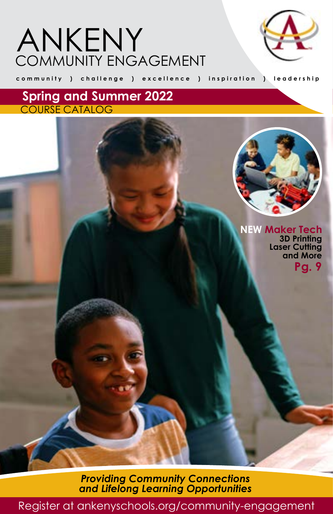# COMMUNITY ENGAGEMENT ANKENY



**community ) challenge ) excellence ) inspiration ) leadership**

**Spring and Summer 2022** COURSE CATALOG

> **NEW Maker Tech 3D Printing Laser Cutting and More Pg. 9**

*Providing Community Connections and Lifelong Learning Opportunities*

[Register at ankenyschools.org/community-engagement](http://www.ankenyschools.org/community-engagement)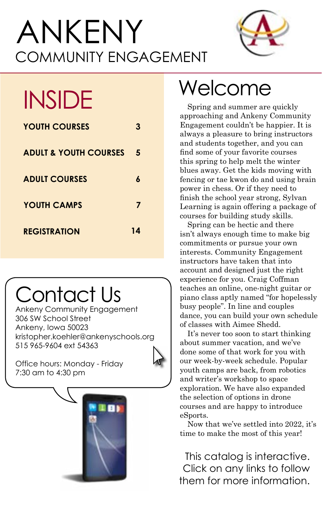# COMMUNITY ENGAGEMENT ANKENY



| <b>YOUTH COURSES</b>             | 3  |
|----------------------------------|----|
| <b>ADULT &amp; YOUTH COURSES</b> | 5  |
| <b>ADULT COURSES</b>             | 6  |
| YOUTH CAMPS                      | 7  |
| <b>REGISTRATION</b>              | 14 |

# Contact Us

Ankeny Community Engagement 306 SW School Street Ankeny, Iowa 50023 [kristopher.koehler@ankenyschools.org](mailto:kristopher.koehler%40ankenyschools.org?subject=) 515 965-9604 ext 54363



Office hours: Monday - Friday 7:30 am to 4:30 pm



# INSIDE Welcome

Spring and summer are quickly approaching and Ankeny Community Engagement couldn't be happier. It is always a pleasure to bring instructors and students together, and you can find some of your favorite courses this spring to help melt the winter blues away. Get the kids moving with fencing or tae kwon do and using brain power in chess. Or if they need to finish the school year strong, Sylvan Learning is again offering a package of courses for building study skills.

Spring can be hectic and there isn't always enough time to make big commitments or pursue your own interests. Community Engagement instructors have taken that into account and designed just the right experience for you. Craig Coffman teaches an online, one-night guitar or piano class aptly named "for hopelessly busy people". In line and couples dance, you can build your own schedule of classes with Aimee Shedd.

It's never too soon to start thinking about summer vacation, and we've done some of that work for you with our week-by-week schedule. Popular youth camps are back, from robotics and writer's workshop to space exploration. We have also expanded the selection of options in drone courses and are happy to introduce eSports.

Now that we've settled into 2022, it's time to make the most of this year!

This catalog is interactive. Click on any links to follow them for more information.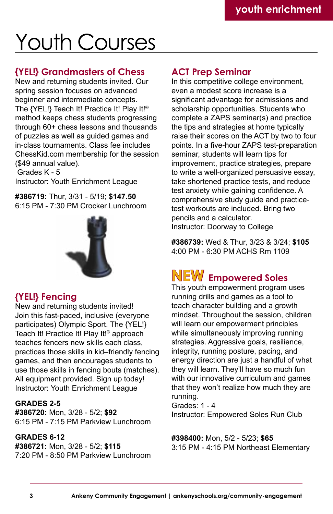# Youth Courses

### **{YEL!} Grandmasters of Chess**

New and returning students invited. Our spring session focuses on advanced beginner and intermediate concepts. The {YEL!} Teach It! Practice It! Play It!® method keeps chess students progressing through 60+ chess lessons and thousands of puzzles as well as guided games and in-class tournaments. Class fee includes ChessKid.com membership for the session (\$49 annual value).

 Grades K - 5 Instructor: Youth Enrichment League

**#386719:** Thur, 3/31 - 5/19; **\$147.50** 6:15 PM - 7:30 PM Crocker Lunchroom



## **{YEL!} Fencing**

New and returning students invited! Join this fast-paced, inclusive (everyone participates) Olympic Sport. The {YEL!} Teach It! Practice It! Play It!® approach teaches fencers new skills each class, practices those skills in kid–friendly fencing games, and then encourages students to use those skills in fencing bouts (matches). All equipment provided. Sign up today! Instructor: Youth Enrichment League

#### **GRADES 2-5**

**#386720:** Mon, 3/28 - 5/2; **\$92** 6:15 PM - 7:15 PM Parkview Lunchroom

#### **GRADES 6-12**

**#386721:** Mon, 3/28 - 5/2; **\$115** 7:20 PM - 8:50 PM Parkview Lunchroom

## **ACT Prep Seminar**

In this competitive college environment, even a modest score increase is a significant advantage for admissions and scholarship opportunities. Students who complete a ZAPS seminar(s) and practice the tips and strategies at home typically raise their scores on the ACT by two to four points. In a five-hour ZAPS test-preparation seminar, students will learn tips for improvement, practice strategies, prepare to write a well-organized persuasive essay, take shortened practice tests, and reduce test anxiety while gaining confidence. A comprehensive study guide and practicetest workouts are included. Bring two pencils and a calculator. Instructor: Doorway to College

**#386739:** Wed & Thur, 3/23 & 3/24; **\$105** 4:00 PM - 6:30 PM ACHS Rm 1109

# **Empowered Soles NEW**

This youth empowerment program uses running drills and games as a tool to teach character building and a growth mindset. Throughout the session, children will learn our empowerment principles while simultaneously improving running strategies. Aggressive goals, resilience, integrity, running posture, pacing, and energy direction are just a handful of what they will learn. They'll have so much fun with our innovative curriculum and games that they won't realize how much they are running.

Grades: 1 - 4 Instructor: Empowered Soles Run Club

**#398400:** Mon, 5/2 - 5/23; **\$65** 3:15 PM - 4:15 PM Northeast Elementary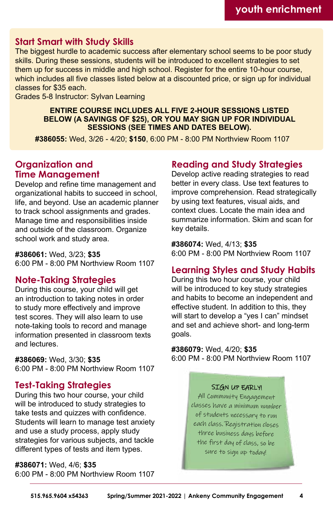### **Start Smart with Study Skills**

The biggest hurdle to academic success after elementary school seems to be poor study skills. During these sessions, students will be introduced to excellent strategies to set them up for success in middle and high school. Register for the entire 10-hour course, which includes all five classes listed below at a discounted price, or sign up for individual classes for \$35 each.

Grades 5-8 Instructor: Sylvan Learning

#### **ENTIRE COURSE INCLUDES ALL FIVE 2-HOUR SESSIONS LISTED BELOW (A SAVINGS OF \$25), OR YOU MAY SIGN UP FOR INDIVIDUAL SESSIONS (SEE TIMES AND DATES BELOW).**

**#386055:** Wed, 3/26 - 4/20; **\$150**, 6:00 PM - 8:00 PM Northview Room 1107

### **Organization and Time Management**

Develop and refine time management and organizational habits to succeed in school, life, and beyond. Use an academic planner to track school assignments and grades. Manage time and responsibilities inside and outside of the classroom. Organize school work and study area.

#### **#386061:** Wed, 3/23; **\$35**

6:00 PM - 8:00 PM Northview Room 1107

### **Note-Taking Strategies**

During this course, your child will get an introduction to taking notes in order to study more effectively and improve test scores. They will also learn to use note-taking tools to record and manage information presented in classroom texts and lectures.

#### **#386069:** Wed, 3/30; **\$35**

6:00 PM - 8:00 PM Northview Room 1107

### **Test-Taking Strategies**

During this two hour course, your child will be introduced to study strategies to take tests and quizzes with confidence. Students will learn to manage test anxiety and use a study process, apply study strategies for various subjects, and tackle different types of tests and item types.

#### **#386071:** Wed, 4/6; **\$35**

6:00 PM - 8:00 PM Northview Room 1107

## **Reading and Study Strategies**

Develop active reading strategies to read better in every class. Use text features to improve comprehension. Read strategically by using text features, visual aids, and context clues. Locate the main idea and summarize information. Skim and scan for key details.

**#386074:** Wed, 4/13; **\$35** 6:00 PM - 8:00 PM Northview Room 1107

### **Learning Styles and Study Habits**

During this two hour course, your child will be introduced to key study strategies and habits to become an independent and effective student. In addition to this, they will start to develop a "yes I can" mindset and set and achieve short- and long-term goals.

**#386079:** Wed, 4/20; **\$35** 6:00 PM - 8:00 PM Northview Room 1107

#### SIGN UP EARLY!

All Community Engagement classes have a minimum number of students necessary to run each class. Registration closes three business days before the first day of class, so be sure to sign up today!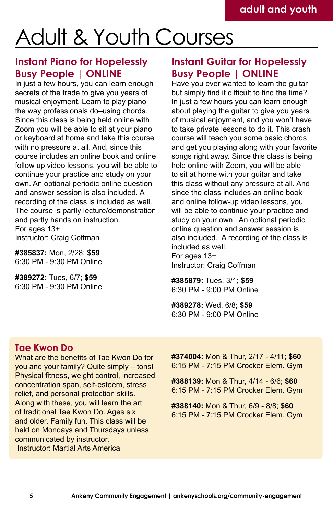# Adult & Youth Courses

# **Instant Piano for Hopelessly Busy People | ONLINE**

In just a few hours, you can learn enough secrets of the trade to give you years of musical enjoyment. Learn to play piano the way professionals do-using chords. Since this class is being held online with Zoom you will be able to sit at your piano or keyboard at home and take this course with no pressure at all. And, since this course includes an online book and online follow up video lessons, you will be able to continue your practice and study on your own. An optional periodic online question and answer session is also included. A recording of the class is included as well. The course is partly lecture/demonstration and partly hands on instruction. For ages 13+

Instructor: Craig Coffman

**#385837:** Mon, 2/28; **\$59** 6:30 PM - 9:30 PM Online

**#389272:** Tues, 6/7; **\$59** 6:30 PM - 9:30 PM Online

# **Instant Guitar for Hopelessly Busy People | ONLINE**

Have you ever wanted to learn the guitar but simply find it difficult to find the time? In just a few hours you can learn enough about playing the guitar to give you years of musical enjoyment, and you won't have to take private lessons to do it. This crash course will teach you some basic chords and get you playing along with your favorite songs right away. Since this class is being held online with Zoom, you will be able to sit at home with your guitar and take this class without any pressure at all. And since the class includes an online book and online follow-up video lessons, you will be able to continue your practice and study on your own. An optional periodic online question and answer session is also included. A recording of the class is included as well.

For ages 13+ Instructor: Craig Coffman

**#385879:** Tues, 3/1; **\$59** 6:30 PM - 9:00 PM Online

**#389278:** Wed, 6/8; **\$59** 6:30 PM - 9:00 PM Online

### **Tae Kwon Do**

What are the benefits of Tae Kwon Do for you and your family? Quite simply – tons! Physical fitness, weight control, increased concentration span, self-esteem, stress relief, and personal protection skills. Along with these, you will learn the art of traditional Tae Kwon Do. Ages six and older. Family fun. This class will be held on Mondays and Thursdays unless communicated by instructor. Instructor: Martial Arts America

**#374004:** Mon & Thur, 2/17 - 4/11; **\$60** 6:15 PM - 7:15 PM Crocker Elem. Gym

**#388139:** Mon & Thur, 4/14 - 6/6; **\$60** 6:15 PM - 7:15 PM Crocker Elem. Gym

**#388140:** Mon & Thur, 6/9 - 8/8; **\$60** 6:15 PM - 7:15 PM Crocker Elem. Gym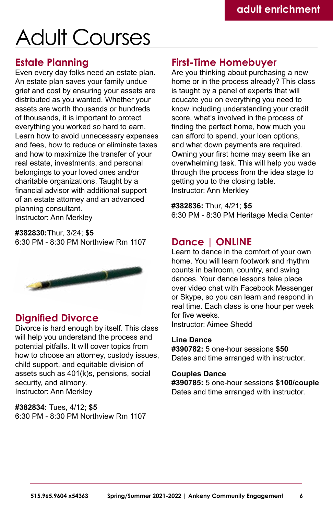# Adult Courses

### **Estate Planning**

Even every day folks need an estate plan. An estate plan saves your family undue grief and cost by ensuring your assets are distributed as you wanted. Whether your assets are worth thousands or hundreds of thousands, it is important to protect everything you worked so hard to earn. Learn how to avoid unnecessary expenses and fees, how to reduce or eliminate taxes and how to maximize the transfer of your real estate, investments, and personal belongings to your loved ones and/or charitable organizations. Taught by a financial advisor with additional support of an estate attorney and an advanced planning consultant. Instructor: Ann Merkley

**#382830:**Thur, 3/24; **\$5** 6:30 PM - 8:30 PM Northview Rm 1107



## **Dignified Divorce**

Divorce is hard enough by itself. This class will help you understand the process and potential pitfalls. It will cover topics from how to choose an attorney, custody issues, child support, and equitable division of assets such as 401(k)s, pensions, social security, and alimony. Instructor: Ann Merkley

**#382834:** Tues, 4/12; **\$5** 6:30 PM - 8:30 PM Northview Rm 1107

## **First-Time Homebuyer**

Are you thinking about purchasing a new home or in the process already? This class is taught by a panel of experts that will educate you on everything you need to know including understanding your credit score, what's involved in the process of finding the perfect home, how much you can afford to spend, your loan options, and what down payments are required. Owning your first home may seem like an overwhelming task. This will help you wade through the process from the idea stage to getting you to the closing table. Instructor: Ann Merkley

**#382836:** Thur, 4/21; **\$5** 6:30 PM - 8:30 PM Heritage Media Center

## **Dance | ONLINE**

Learn to dance in the comfort of your own home. You will learn footwork and rhythm counts in ballroom, country, and swing dances. Your dance lessons take place over video chat with Facebook Messenger or Skype, so you can learn and respond in real time. Each class is one hour per week for five weeks.

Instructor: Aimee Shedd

#### **Line Dance**

**#390782:** 5 one-hour sessions **\$50** Dates and time arranged with instructor.

#### **Couples Dance**

**#390785:** 5 one-hour sessions **\$100/couple** Dates and time arranged with instructor.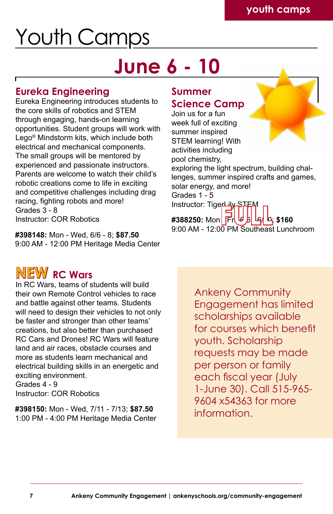# Youth Camps

# **June 6 - 10**

# **Eureka Engineering**

Eureka Engineering introduces students to the core skills of robotics and STEM through engaging, hands-on learning opportunities. Student groups will work with Lego® Mindstorm kits, which include both electrical and mechanical components. The small groups will be mentored by experienced and passionate instructors. Parents are welcome to watch their child's robotic creations come to life in exciting and competitive challenges including drag racing, fighting robots and more! Grades 3 - 8 Instructor: COR Robotics

**#398148:** Mon - Wed, 6/6 - 8; **\$87.50** 9:00 AM - 12:00 PM Heritage Media Center

# **Summer Science Camp**

**#388250:** Mon Fr 11stuctor: 119**8 PM - 12:00 PM - 12:00**<br>#388250: Mon Fried BL - \$160<br>9:00 AM - 12:00 PM Southeast Lunchroom Join us for a fun week full of exciting summer inspired STEM learning! With activities including pool chemistry, exploring the light spectrum, building challenges, summer inspired crafts and games, solar energy, and more! Grades 1 - 5 Instructor: TigerLily STE

# $N$ **EW** RC Wars

In RC Wars, teams of students will build their own Remote Control vehicles to race and battle against other teams. Students will need to design their vehicles to not only be faster and stronger than other teams' creations, but also better than purchased RC Cars and Drones! RC Wars will feature land and air races, obstacle courses and more as students learn mechanical and electrical building skills in an energetic and exciting environment. Grades 4 - 9

Instructor: COR Robotics

**#398150:** Mon - Wed, 7/11 - 7/13; **\$87.50** 1:00 PM - 4:00 PM Heritage Media Center Ankeny Community Engagement has limited scholarships available for courses which benefit youth. Scholarship requests may be made per person or family each fiscal year (July 1-June 30). Call 515-965- 9604 x54363 for more information.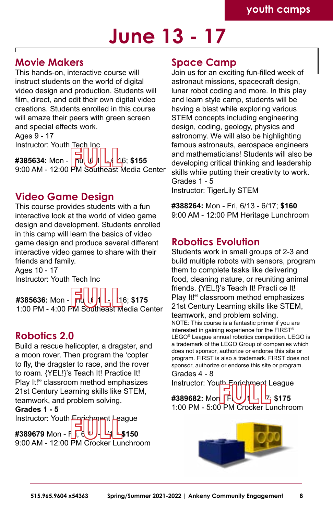# **June 13 - 17**

## **Movie Makers**

This hands-on, interactive course will instruct students on the world of digital video design and production. Students will film, direct, and edit their own digital video creations. Students enrolled in this course will amaze their peers with green screen and special effects work. Ages 9 - 17

Instructor: Youth Tech Inc

**#385634:** Mon - Thur, 6/13 - 6/16; **\$155** 116.1996.1.1996.1.1996.1.1996.1.1996.1.1996.1.1996.1.1996.1.1996.1.1996.1.1996.1.<br>#385634: Mon - **Fullel Legation 12:00 PM Southeast Media Center** 

## **Video Game Design**

This course provides students with a fun interactive look at the world of video game design and development. Students enrolled in this camp will learn the basics of video game design and produce several different interactive video games to share with their friends and family.

Ages 10 - 17 Instructor: Youth Tech Inc

**#385636:** Mon - **Ind (4 11 L | 1**6; \$175 #385636: Mon - FU**LLLLLLLLLLLLLL**<br>1:00 PM - 4:00 PM Southeast Media Center

### **Robotics 2.0**

Build a rescue helicopter, a dragster, and a moon rover. Then program the 'copter to fly, the dragster to race, and the rover to roam. {YEL!}'s Teach It! Practice It! Play It!® classroom method emphasizes 21st Century Learning skills like STEM, teamwork, and problem solving.

#### **Grades 1 - 5**

#389679 Mon - Fird <sup>U</sup> / | பு| ட்\$150 19:00 AM - 12:00 PM Crocker Lunchroom<br>
9:00 AM - 12:00 PM Crocker Lunchroom Instructor: Youth Enrichment League

### **Space Camp**

Join us for an exciting fun-filled week of astronaut missions, spacecraft design, lunar robot coding and more. In this play and learn style camp, students will be having a blast while exploring various STEM concepts including engineering design, coding, geology, physics and astronomy. We will also be highlighting famous astronauts, aerospace engineers and mathematicians! Students will also be developing critical thinking and leadership skills while putting their creativity to work. Grades 1 - 5 Instructor: TigerLily STEM

**#388264:** Mon - Fri, 6/13 - 6/17; **\$160** 9:00 AM - 12:00 PM Heritage Lunchroom

### **Robotics Evolution**

Students work in small groups of 2-3 and build multiple robots with sensors, program them to complete tasks like delivering food, cleaning nature, or reuniting animal friends. {YEL!}'s Teach It! Practi ce It! Play It!® classroom method emphasizes 21st Century Learning skills like STEM, teamwork, and problem solving. NOTE: This course is a fantastic primer if you are interested in gaining experience for the FIRST® LEGO® League annual robotics competition. LEGO is a trademark of the LEGO Group of companies which does not sponsor, authorize or endorse this site or program. FIRST is also a trademark. FIRST does not sponsor, authorize or endorse this site or program.

#389682: Mon **IFI, U /1 니 너 더 \$175** 1:00 PM - 5:00 PM Crocker Lunchroom **FULL**Grades 4 - 8 Instructor: Youth Enrichment League

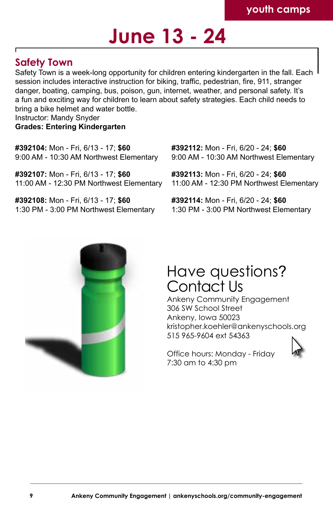# **June 13 - 24**

# **Safety Town**

Safety Town is a week-long opportunity for children entering kindergarten in the fall. Each session includes interactive instruction for biking, traffic, pedestrian, fire, 911, stranger danger, boating, camping, bus, poison, gun, internet, weather, and personal safety. It's a fun and exciting way for children to learn about safety strategies. Each child needs to bring a bike helmet and water bottle.

Instructor: Mandy Snyder

#### **Grades: Entering Kindergarten**

**#392104:** Mon - Fri, 6/13 - 17; **\$60** 9:00 AM - 10:30 AM Northwest Elementary

**#392107:** Mon - Fri, 6/13 - 17; **\$60** 11:00 AM - 12:30 PM Northwest Elementary

**#392108:** Mon - Fri, 6/13 - 17; **\$60** 1:30 PM - 3:00 PM Northwest Elementary **#392112:** Mon - Fri, 6/20 - 24; **\$60** 9:00 AM - 10:30 AM Northwest Elementary

**#392113:** Mon - Fri, 6/20 - 24; **\$60** 11:00 AM - 12:30 PM Northwest Elementary

**#392114:** Mon - Fri, 6/20 - 24; **\$60** 1:30 PM - 3:00 PM Northwest Elementary



# Have questions? Contact Us

Ankeny Community Engagement 306 SW School Street Ankeny, Iowa 50023 [kristopher.koehler@ankenyschools.org](mailto:kristopher.koehler%40ankenyschools.org?subject=) 515 965-9604 ext 54363

Office hours: Monday - Friday 7:30 am to 4:30 pm

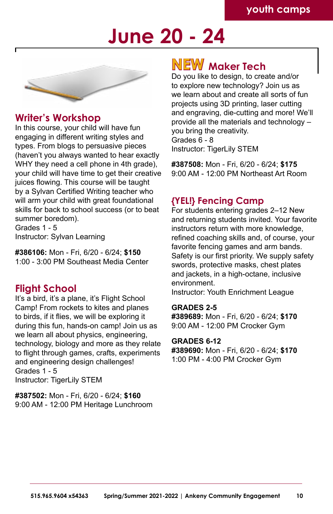# **June 20 - 24**



### **Writer's Workshop**

In this course, your child will have fun engaging in different writing styles and types. From blogs to persuasive pieces (haven't you always wanted to hear exactly WHY they need a cell phone in 4th grade). your child will have time to get their creative juices flowing. This course will be taught by a Sylvan Certified Writing teacher who will arm your child with great foundational skills for back to school success (or to beat summer boredom).

Grades 1 - 5 Instructor: Sylvan Learning

**#386106:** Mon - Fri, 6/20 - 6/24; **\$150** 1:00 - 3:00 PM Southeast Media Center

### **Flight School**

It's a bird, it's a plane, it's Flight School Camp! From rockets to kites and planes to birds, if it flies, we will be exploring it during this fun, hands-on camp! Join us as we learn all about physics, engineering, technology, biology and more as they relate to flight through games, crafts, experiments and engineering design challenges! Grades 1 - 5 Instructor: TigerLily STEM

**#387502:** Mon - Fri, 6/20 - 6/24; **\$160** 9:00 AM - 12:00 PM Heritage Lunchroom

# $N$ EW Maker Tech

Do you like to design, to create and/or to explore new technology? Join us as we learn about and create all sorts of fun projects using 3D printing, laser cutting and engraving, die-cutting and more! We'll provide all the materials and technology – you bring the creativity. Grades 6 - 8 Instructor: TigerLily STEM

**#387508:** Mon - Fri, 6/20 - 6/24; **\$175** 9:00 AM - 12:00 PM Northeast Art Room

### **{YEL!} Fencing Camp**

For students entering grades 2–12 New and returning students invited. Your favorite instructors return with more knowledge, refined coaching skills and, of course, your favorite fencing games and arm bands. Safety is our first priority. We supply safety swords, protective masks, chest plates and jackets, in a high-octane, inclusive environment.

Instructor: Youth Enrichment League

#### **GRADES 2-5**

**#389689:** Mon - Fri, 6/20 - 6/24; **\$170** 9:00 AM - 12:00 PM Crocker Gym

**GRADES 6-12**

**#389690:** Mon - Fri, 6/20 - 6/24; **\$170** 1:00 PM - 4:00 PM Crocker Gym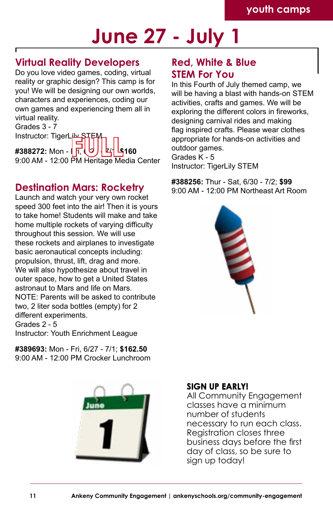# **June 27 - July 1**

# **Virtual Reality Developers**

Do you love video games, coding, virtual reality or graphic design? This camp is for you! We will be designing our own worlds, characters and experiences, coding our own games and experiencing them all in virtual reality.

Grades 3 - 7 Instructor: TigerLiby #388272: Mon -  $\left| \right| \left| \right| \left| \right| \left| \right| \left| \right| \left| \right| \left| \right| \left| \right|$ 11structor: 11gent.<br> **#388272:** Mon - **Filmeric Property 160**<br>
9:00 AM - 12:00 PM Heritage Media Center

# **Destination Mars: Rocketry**

Launch and watch your very own rocket speed 300 feet into the air! Then it is yours to take home! Students will make and take home multiple rockets of varying difficulty throughout this session. We will use these rockets and airplanes to investigate basic aeronautical concepts including: propulsion, thrust, lift, drag and more. We will also hypothesize about travel in outer space, how to get a United States astronaut to Mars and life on Mars. NOTE: Parents will be asked to contribute two, 2 liter soda bottles (empty) for 2 different experiments. Grades 2 - 5

Instructor: Youth Enrichment League

**#389693:** Mon - Fri, 6/27 - 7/1; **\$162.50** 9:00 AM - 12:00 PM Crocker Lunchroom



# **Red, White & Blue STEM For You**

In this Fourth of July themed camp, we will be having a blast with hands-on STEM activities, crafts and games. We will be exploring the different colors in fireworks, designing carnival rides and making flag inspired crafts. Please wear clothes appropriate for hands-on activities and outdoor games. Grades K - 5 Instructor: TigerLily STEM

**#388256:** Thur - Sat, 6/30 - 7/2; **\$99** 9:00 AM - 12:00 PM Northeast Art Room



### **SIGN UP EARLY!**

All Community Engagement classes have a minimum number of students necessary to run each class. Registration closes three business days before the first day of class, so be sure to sign up today!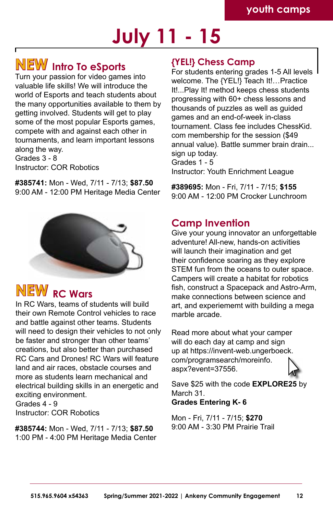# **July 11 - 15**

# **Intro To eSports NEW**

Turn your passion for video games into valuable life skills! We will introduce the world of Esports and teach students about the many opportunities available to them by getting involved. Students will get to play some of the most popular Esports games, compete with and against each other in tournaments, and learn important lessons along the way.

Grades 3 - 8 Instructor: COR Robotics

**#385741:** Mon - Wed, 7/11 - 7/13; **\$87.50** 9:00 AM - 12:00 PM Heritage Media Center



# $N$ **EW** RC Wars

In RC Wars, teams of students will build their own Remote Control vehicles to race and battle against other teams. Students will need to design their vehicles to not only be faster and stronger than other teams' creations, but also better than purchased RC Cars and Drones! RC Wars will feature land and air races, obstacle courses and more as students learn mechanical and electrical building skills in an energetic and exciting environment. Grades 4 - 9 Instructor: COR Robotics

**#385744:** Mon - Wed, 7/11 - 7/13; **\$87.50** 1:00 PM - 4:00 PM Heritage Media Center

### **{YEL!} Chess Camp**

For students entering grades 1-5 All levels welcome. The {YEL!} Teach It!…Practice It!...Play It! method keeps chess students progressing with 60+ chess lessons and thousands of puzzles as well as guided games and an end-of-week in-class tournament. Class fee includes ChessKid. com membership for the session (\$49 annual value). Battle summer brain drain... sign up today. Grades 1 - 5 Instructor: Youth Enrichment League

**#389695:** Mon - Fri, 7/11 - 7/15; **\$155** 9:00 AM - 12:00 PM Crocker Lunchroom

# **Camp Invention**

Give your young innovator an unforgettable adventure! All-new, hands-on activities will launch their imagination and get their confidence soaring as they explore STEM fun from the oceans to outer space. Campers will create a habitat for robotics fish, construct a Spacepack and Astro-Arm, make connections between science and art, and experiememt with building a mega marble arcade.

Read more about what your camper will do each day at camp and sign up at [https://invent-web.ungerboeck.](https://invent-web.ungerboeck.com/programsearch/moreinfo.aspx?event=37556) [com/programsearch/moreinfo.](https://invent-web.ungerboeck.com/programsearch/moreinfo.aspx?event=37556) [aspx?event=37556](https://invent-web.ungerboeck.com/programsearch/moreinfo.aspx?event=37556).



Save \$25 with the code **EXPLORE25** by March 31. **Grades Entering K- 6**

Mon - Fri, 7/11 - 7/15; **\$270** 9:00 AM - 3:30 PM Prairie Trail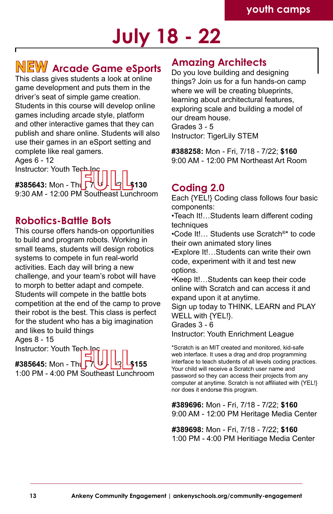# **July 18 - 22**

# **Arcade Game eSports NEW Amazing Architects**

This class gives students a look at online game development and puts them in the driver's seat of simple game creation. Students in this course will develop online games including arcade style, platform and other interactive games that they can publish and share online. Students will also use their games in an eSport setting and complete like real gamers.

Ages 6 - 12

Instructor: Youth Tech Ing

**#385643:** Mon - Thu 1385643: Mon - The FULL<br> **#385643:** Mon - The Full Lunchroom<br>9:30 AM - 12:00 PM Southeast Lunchroom

### **Robotics-Battle Bots**

This course offers hands-on opportunities to build and program robots. Working in small teams, students will design robotics systems to compete in fun real-world activities. Each day will bring a new challenge, and your team's robot will have to morph to better adapt and compete. Students will compete in the battle bots competition at the end of the camp to prove their robot is the best. This class is perfect for the student who has a big imagination and likes to build things

Ages 8 - 15

Instructor: Youth Tech

**#385645: Mon - Thu** 11581 actor: Toddi Technology<br> **#385645:** Mon - The FTULLL **4155**<br>
1:00 PM - 4:00 PM Southeast Lunchroom

Do you love building and designing things? Join us for a fun hands-on camp where we will be creating blueprints. learning about architectural features, exploring scale and building a model of our dream house. Grades 3 - 5 Instructor: TigerLily STEM

**#388258:** Mon - Fri, 7/18 - 7/22; **\$160** 9:00 AM - 12:00 PM Northeast Art Room

# **Coding 2.0**

Each {YEL!} Coding class follows four basic components:

•Teach It!…Students learn different coding techniques

•Code It!… Students use Scratch®\* to code their own animated story lines

•Explore It!…Students can write their own code, experiment with it and test new options.

•Keep It!…Students can keep their code online with Scratch and can access it and expand upon it at anytime.

Sign up today to THINK, LEARN and PLAY WELL with {YEL!}.

Grades 3 - 6 Instructor: Youth Enrichment League

\*Scratch is an MIT created and monitored, kid-safe web interface. It uses a drag and drop programming interface to teach students of all levels coding practices. Your child will receive a Scratch user name and password so they can access their projects from any computer at anytime. Scratch is not affiliated with {YEL!} nor does it endorse this program.

**#389696:** Mon - Fri, 7/18 - 7/22; **\$160** 9:00 AM - 12:00 PM Heritage Media Center

**#389698:** Mon - Fri, 7/18 - 7/22; **\$160** 1:00 PM - 4:00 PM Heritiage Media Center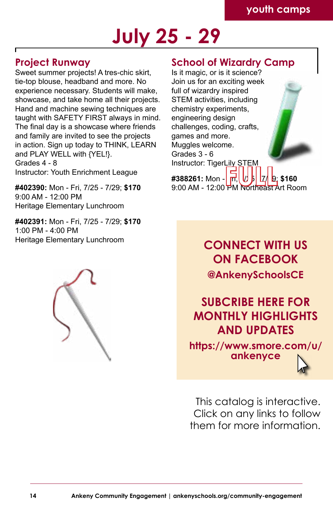# **July 25 - 29**

## **Project Runway**

Sweet summer projects! A tres-chic skirt, tie-top blouse, headband and more. No experience necessary. Students will make, showcase, and take home all their projects. Hand and machine sewing techniques are taught with SAFETY FIRST always in mind. The final day is a showcase where friends and family are invited to see the projects in action. Sign up today to THINK, LEARN and PLAY WELL with {YEL!}. Grades 4 - 8

#402390: Mon - Fri, 7/25 - 7/29; \$170 9:00 AM - 12:00 PM Heritage Elementary Lunchroom

**#402391:** Mon - Fri, 7/25 - 7/29; **\$170** 1:00 PM - 4:00 PM Heritage Elementary Lunchroom



### **School of Wizardry Camp**

Is it magic, or is it science? Join us for an exciting week full of wizardry inspired STEM activities, including chemistry experiments, engineering design challenges, coding, crafts, games and more. Muggles welcome. Grades 3 - 6 Instructor: TigerLily STEM

**Instructor: Youth Enrichment League #388261:** Mon - Fri, 1, 1, 1, 1, 9; **\$160**  $9.00$  AM - 12:00 PM Northeast Art Room

> **CONNECT WITH US ON FACEBOOK [@AnkenySchoolsCE](https://www.facebook.com/AnkenySchoolsCE)**

**SUBCRIBE HERE FOR MONTHLY HIGHLIGHTS AND UPDATES**

**[https://www.smore.com/u/](https://www.smore.com/u/ankenyce) [ankenyce](https://www.smore.com/u/ankenyce)**



This catalog is interactive. Click on any links to follow them for more information.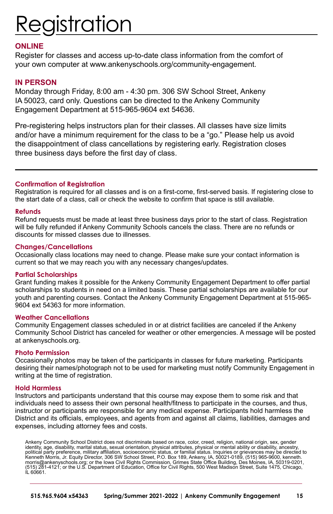# Registration

#### **ONLINE**

Register for classes and access up-to-date class information from the comfort of your own computer at [www.ankenyschools.org/community-engagement.](http://www.ankenyschools.org/community-engagement )

#### **IN PERSON**

Monday through Friday, 8:00 am - 4:30 pm. 306 SW School Street, Ankeny IA 50023, card only. Questions can be directed to the Ankeny Community Engagement Department at 515-965-9604 ext 54636.

Pre-registering helps instructors plan for their classes. All classes have size limits and/or have a minimum requirement for the class to be a "go." Please help us avoid the disappointment of class cancellations by registering early. Registration closes three business days before the first day of class.

#### **Confirmation of Registration**

Registration is required for all classes and is on a first-come, first-served basis. If registering close to the start date of a class, call or check the website to confirm that space is still available.

#### **Refunds**

Refund requests must be made at least three business days prior to the start of class. Registration will be fully refunded if Ankeny Community Schools cancels the class. There are no refunds or discounts for missed classes due to illnesses.

#### **Changes/Cancellations**

Occasionally class locations may need to change. Please make sure your contact information is current so that we may reach you with any necessary changes/updates.

#### **Partial Scholarships**

Grant funding makes it possible for the Ankeny Community Engagement Department to offer partial scholarships to students in need on a limited basis. These partial scholarships are available for our youth and parenting courses. Contact the Ankeny Community Engagement Department at 515-965- 9604 ext 54363 for more information.

#### **Weather Cancellations**

Community Engagement classes scheduled in or at district facilities are canceled if the Ankeny Community School District has canceled for weather or other emergencies. A message will be posted at ankenyschools.org.

#### **Photo Permission**

Occasionally photos may be taken of the participants in classes for future marketing. Participants desiring their names/photograph not to be used for marketing must notify Community Engagement in writing at the time of registration.

#### **Hold Harmless**

Instructors and participants understand that this course may expose them to some risk and that individuals need to assess their own personal health/fitness to participate in the courses, and thus, instructor or participants are responsible for any medical expense. Participants hold harmless the District and its officials, employees, and agents from and against all claims, liabilities, damages and expenses, including attorney fees and costs.

Ankeny Community School District does not discriminate based on race, color, creed, religion, national origin, sex, gender identity, age, disability, marital status, sexual orientation, physical attributes, physical or mental ability or disability, ancestry, political party preference, military affiliation, socioeconomic status, or familial status. Inquiries or grievances may be directed to<br>Kenneth Morris, Jr. Equity Director, 306 SW School Street, P.O. Box 189, Ankeny, IA, 50 IL 60661.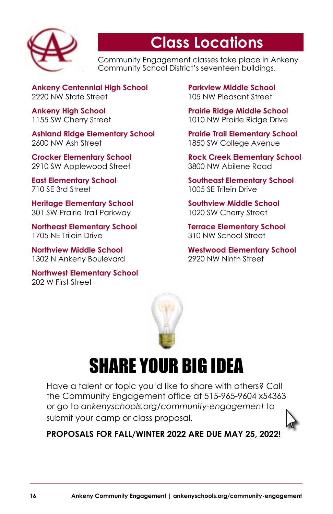

# **Class Locations**

Community Engagement classes take place in Ankeny Community School District's seventeen buildings.

**Ankeny Centennial High School** 2220 NW State Street

**Ankeny High School**  1155 SW Cherry Street

**Ashland Ridge Elementary School** 2600 NW Ash Street

**Crocker Elementary School**  2910 SW Applewood Street

**East Elementary School** 710 SE 3rd Street

**Heritage Elementary School** 301 SW Prairie Trail Parkway

**Northeast Elementary School** 1705 NE Trilein Drive

**Northview Middle School** 1302 N Ankeny Boulevard

**Northwest Elementary School** 202 W First Street

**Parkview Middle School** 105 NW Pleasant Street

**Prairie Ridge Middle School**  1010 NW Prairie Ridge Drive

**Prairie Trail Elementary School** 1850 SW College Avenue

**Rock Creek Elementary School** 3800 NW Abilene Road

**Southeast Elementary School** 1005 SE Trilein Drive

**Southview Middle School**  1020 SW Cherry Street

**Terrace Elementary School** 310 NW School Street

**Westwood Elementary School** 2920 NW Ninth Street



# SHARE YOUR BIG IDEA

Have a talent or topic you'd like to share with others? Call the Community Engagement office at 515-965-9604 x54363 or go to *[ankenyschools.org/community-engagement](http://www.ankenyschools.org/community-engagement )* to submit your camp or class proposal.



**PROPOSALS FOR FALL/WINTER 2022 ARE DUE MAY 25, 2022!**